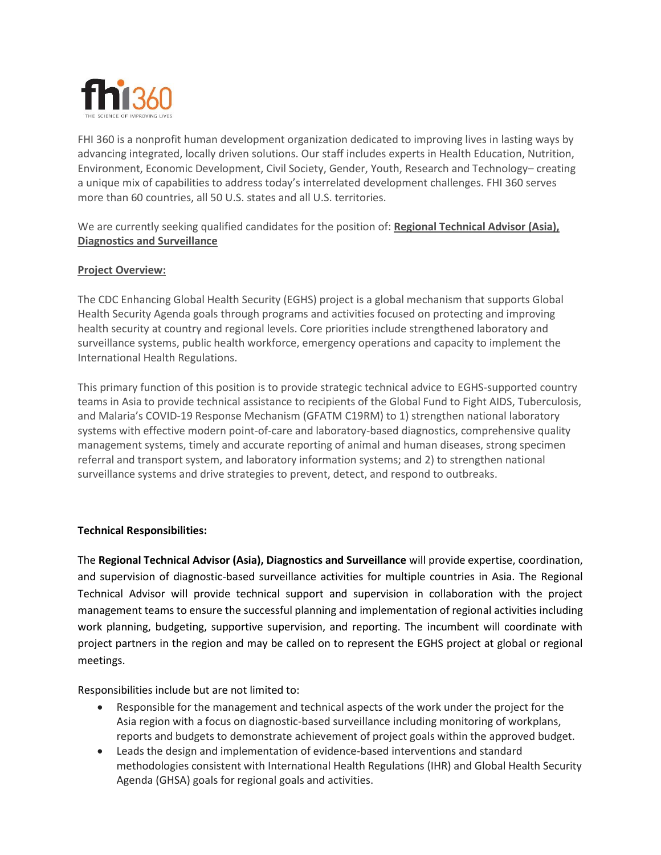

FHI 360 is a nonprofit human development organization dedicated to improving lives in lasting ways by advancing integrated, locally driven solutions. Our staff includes experts in Health Education, Nutrition, Environment, Economic Development, Civil Society, Gender, Youth, Research and Technology– creating a unique mix of capabilities to address today's interrelated development challenges. FHI 360 serves more than 60 countries, all 50 U.S. states and all U.S. territories.

We are currently seeking qualified candidates for the position of: **Regional Technical Advisor (Asia), Diagnostics and Surveillance**

## **Project Overview:**

The CDC Enhancing Global Health Security (EGHS) project is a global mechanism that supports Global Health Security Agenda goals through programs and activities focused on protecting and improving health security at country and regional levels. Core priorities include strengthened laboratory and surveillance systems, public health workforce, emergency operations and capacity to implement the International Health Regulations.

This primary function of this position is to provide strategic technical advice to EGHS-supported country teams in Asia to provide technical assistance to recipients of the Global Fund to Fight AIDS, Tuberculosis, and Malaria's COVID-19 Response Mechanism (GFATM C19RM) to 1) strengthen national laboratory systems with effective modern point-of-care and laboratory-based diagnostics, comprehensive quality management systems, timely and accurate reporting of animal and human diseases, strong specimen referral and transport system, and laboratory information systems; and 2) to strengthen national surveillance systems and drive strategies to prevent, detect, and respond to outbreaks.

## **Technical Responsibilities:**

The **Regional Technical Advisor (Asia), Diagnostics and Surveillance** will provide expertise, coordination, and supervision of diagnostic-based surveillance activities for multiple countries in Asia. The Regional Technical Advisor will provide technical support and supervision in collaboration with the project management teams to ensure the successful planning and implementation of regional activities including work planning, budgeting, supportive supervision, and reporting. The incumbent will coordinate with project partners in the region and may be called on to represent the EGHS project at global or regional meetings.

Responsibilities include but are not limited to:

- Responsible for the management and technical aspects of the work under the project for the Asia region with a focus on diagnostic-based surveillance including monitoring of workplans, reports and budgets to demonstrate achievement of project goals within the approved budget.
- Leads the design and implementation of evidence-based interventions and standard methodologies consistent with International Health Regulations (IHR) and Global Health Security Agenda (GHSA) goals for regional goals and activities.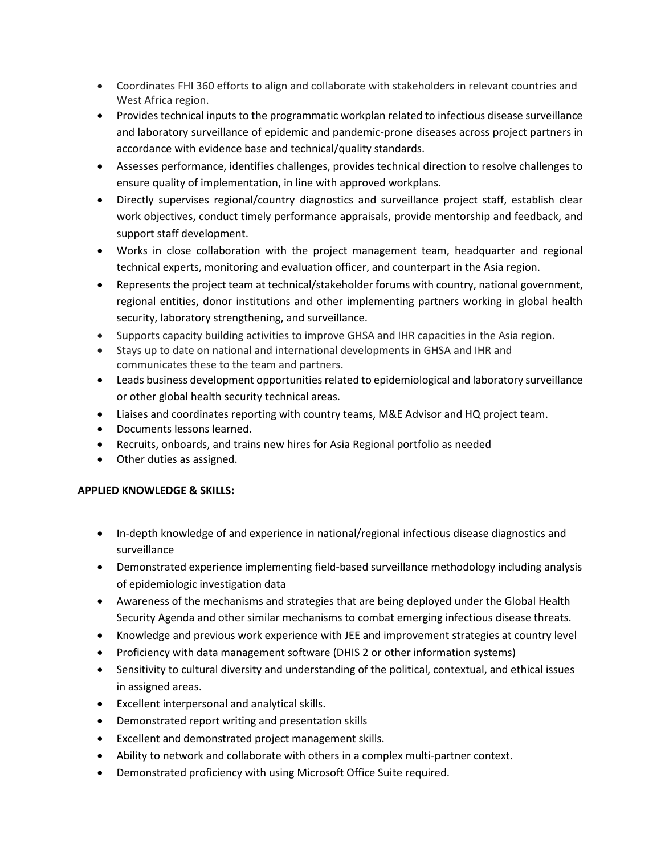- Coordinates FHI 360 efforts to align and collaborate with stakeholders in relevant countries and West Africa region.
- Provides technical inputs to the programmatic workplan related to infectious disease surveillance and laboratory surveillance of epidemic and pandemic-prone diseases across project partners in accordance with evidence base and technical/quality standards.
- Assesses performance, identifies challenges, provides technical direction to resolve challenges to ensure quality of implementation, in line with approved workplans.
- Directly supervises regional/country diagnostics and surveillance project staff, establish clear work objectives, conduct timely performance appraisals, provide mentorship and feedback, and support staff development.
- Works in close collaboration with the project management team, headquarter and regional technical experts, monitoring and evaluation officer, and counterpart in the Asia region.
- Represents the project team at technical/stakeholder forums with country, national government, regional entities, donor institutions and other implementing partners working in global health security, laboratory strengthening, and surveillance.
- Supports capacity building activities to improve GHSA and IHR capacities in the Asia region.
- Stays up to date on national and international developments in GHSA and IHR and communicates these to the team and partners.
- Leads business development opportunities related to epidemiological and laboratory surveillance or other global health security technical areas.
- Liaises and coordinates reporting with country teams, M&E Advisor and HQ project team.
- Documents lessons learned.
- Recruits, onboards, and trains new hires for Asia Regional portfolio as needed
- Other duties as assigned.

# **APPLIED KNOWLEDGE & SKILLS:**

- In-depth knowledge of and experience in national/regional infectious disease diagnostics and surveillance
- Demonstrated experience implementing field-based surveillance methodology including analysis of epidemiologic investigation data
- Awareness of the mechanisms and strategies that are being deployed under the Global Health Security Agenda and other similar mechanisms to combat emerging infectious disease threats.
- Knowledge and previous work experience with JEE and improvement strategies at country level
- Proficiency with data management software (DHIS 2 or other information systems)
- Sensitivity to cultural diversity and understanding of the political, contextual, and ethical issues in assigned areas.
- Excellent interpersonal and analytical skills.
- Demonstrated report writing and presentation skills
- Excellent and demonstrated project management skills.
- Ability to network and collaborate with others in a complex multi-partner context.
- Demonstrated proficiency with using Microsoft Office Suite required.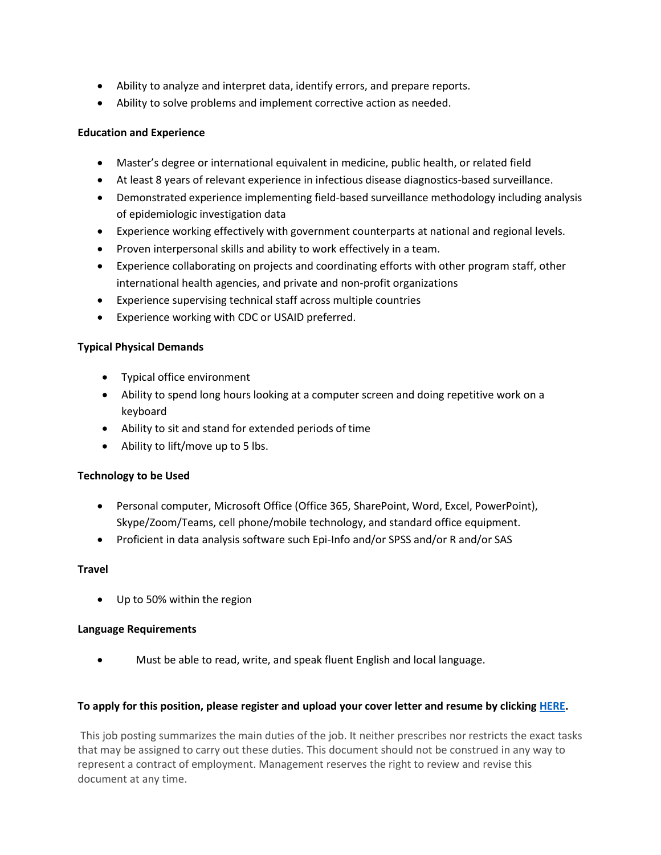- Ability to analyze and interpret data, identify errors, and prepare reports.
- Ability to solve problems and implement corrective action as needed.

## **Education and Experience**

- Master's degree or international equivalent in medicine, public health, or related field
- At least 8 years of relevant experience in infectious disease diagnostics-based surveillance.
- Demonstrated experience implementing field-based surveillance methodology including analysis of epidemiologic investigation data
- Experience working effectively with government counterparts at national and regional levels.
- Proven interpersonal skills and ability to work effectively in a team.
- Experience collaborating on projects and coordinating efforts with other program staff, other international health agencies, and private and non-profit organizations
- Experience supervising technical staff across multiple countries
- Experience working with CDC or USAID preferred.

## **Typical Physical Demands**

- Typical office environment
- Ability to spend long hours looking at a computer screen and doing repetitive work on a keyboard
- Ability to sit and stand for extended periods of time
- Ability to lift/move up to 5 lbs.

## **Technology to be Used**

- Personal computer, Microsoft Office (Office 365, SharePoint, Word, Excel, PowerPoint), Skype/Zoom/Teams, cell phone/mobile technology, and standard office equipment.
- Proficient in data analysis software such Epi-Info and/or SPSS and/or R and/or SAS

## **Travel**

• Up to 50% within the region

## **Language Requirements**

• Must be able to read, write, and speak fluent English and local language.

## **To apply for this position, please register and upload your cover letter and resume by clickin[g HERE.](https://fhi.wd1.myworkdayjobs.com/FHI_360_External_Career_Portal/job/Bangkok-Thailand/Regional-Technical-Advisor--Asia-_Requisition-2022201074)**

This job posting summarizes the main duties of the job. It neither prescribes nor restricts the exact tasks that may be assigned to carry out these duties. This document should not be construed in any way to represent a contract of employment. Management reserves the right to review and revise this document at any time.